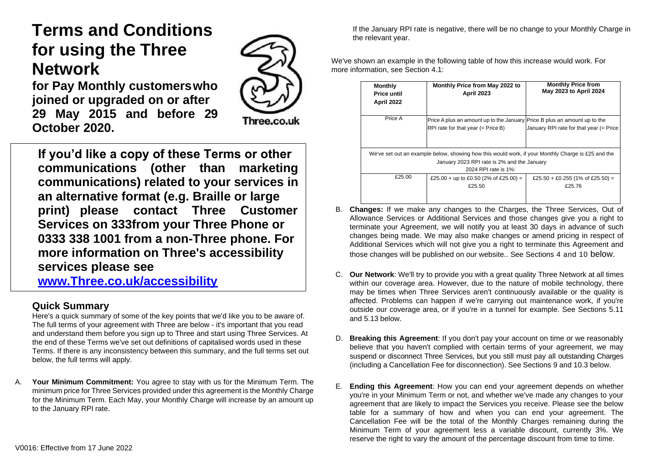# **Terms and Conditions for using the Three Network**

**for Pay Monthly customerswho joined or upgraded on or after 29 May 2015 and before 29 October 2020.**

Three.co.uk

**If you'd like a copy of these Terms or other communications (other than marketing communications) related to your services in an alternative format (e.g. Braille or large print) please contact Three Customer Services on 333from your Three Phone or 0333 338 1001 from a non-Three phone. For more information on Three's accessibility services please see** 

**[www.Three.co.uk/accessibility](http://www.three.co.uk/accessibility)**

## **Quick Summary**

Here's a quick summary of some of the key points that we'd like you to be aware of. The full terms of your agreement with Three are below - it's important that you read and understand them before you sign up to Three and start using Three Services. At the end of these Terms we've set out definitions of capitalised words used in these Terms. If there is any inconsistency between this summary, and the full terms set out below, the full terms will apply.

A. **Your Minimum Commitment:** You agree to stay with us for the Minimum Term. The minimum price for Three Services provided under this agreement is the Monthly Charge for the Minimum Term. Each May, your Monthly Charge will increase by an amount up to the January RPI rate.

If the January RPI rate is negative, there will be no change to your Monthly Charge in the relevant year.

We've shown an example in the following table of how this increase would work. For more information, see Section 4.1:

| <b>Monthly</b><br><b>Price until</b><br>April 2022                                                 | Monthly Price from May 2022 to<br><b>April 2023</b>                       | <b>Monthly Price from</b><br>May 2023 to April 2024 |  |  |
|----------------------------------------------------------------------------------------------------|---------------------------------------------------------------------------|-----------------------------------------------------|--|--|
|                                                                                                    |                                                                           |                                                     |  |  |
| Price A                                                                                            | Price A plus an amount up to the January Price B plus an amount up to the |                                                     |  |  |
|                                                                                                    | RPI rate for that year $(=$ Price B)                                      | January RPI rate for that year (= Price             |  |  |
|                                                                                                    |                                                                           |                                                     |  |  |
| We've set out an example below, showing how this would work, if your Monthly Charge is £25 and the |                                                                           |                                                     |  |  |
| January 2023 RPI rate is 2% and the January                                                        |                                                                           |                                                     |  |  |
| 2024 RPI rate is 1%:                                                                               |                                                                           |                                                     |  |  |
| £25.00                                                                                             | £25.00 + up to £0.50 (2% of £25.00) =                                     | £25.50 + £0.255 (1% of £25.50) =                    |  |  |
|                                                                                                    | £25.50                                                                    | £25.76                                              |  |  |
|                                                                                                    |                                                                           |                                                     |  |  |

- B. **Changes:** If we make any changes to the Charges, the Three Services, Out of Allowance Services or Additional Services and those changes give you a right to terminate your Agreement, we will notify you at least 30 days in advance of such changes being made. We may also make changes or amend pricing in respect of Additional Services which will not give you a right to terminate this Agreement and those changes will be published on our website.. See Sections 4 and 10 below.
- C. **Our Network**: We'll try to provide you with a great quality Three Network at all times within our coverage area. However, due to the nature of mobile technology, there may be times when Three Services aren't continuously available or the quality is affected. Problems can happen if we're carrying out maintenance work, if you're outside our coverage area, or if you're in a tunnel for example. See Sections 5.11 and 5.13 below.
- D. **Breaking this Agreement**: If you don't pay your account on time or we reasonably believe that you haven't complied with certain terms of your agreement, we may suspend or disconnect Three Services, but you still must pay all outstanding Charges (including a Cancellation Fee for disconnection). See Sections 9 and 10.3 below.
- E. **Ending this Agreement**: How you can end your agreement depends on whether you're in your Minimum Term or not, and whether we've made any changes to your agreement that are likely to impact the Services you receive. Please see the below table for a summary of how and when you can end your agreement. The Cancellation Fee will be the total of the Monthly Charges remaining during the Minimum Term of your agreement less a variable discount, currently 3%. We reserve the right to vary the amount of the percentage discount from time to time.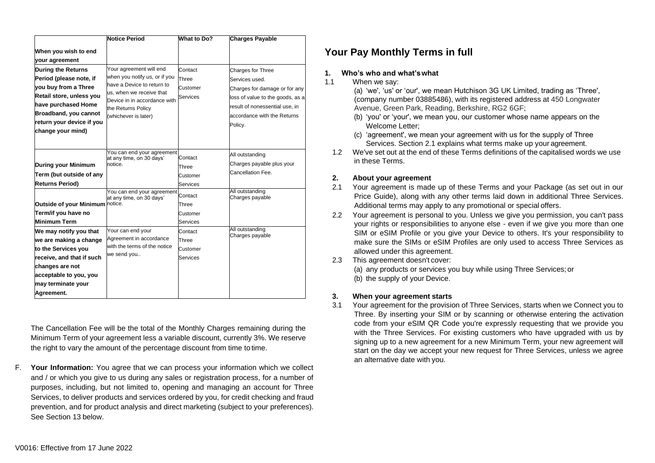|                                                                                                                                                                                                            | Notice Period                                                                                                                                                                                    | What to Do?                                     | <b>Charges Payable</b>                                                                                                                                                               |
|------------------------------------------------------------------------------------------------------------------------------------------------------------------------------------------------------------|--------------------------------------------------------------------------------------------------------------------------------------------------------------------------------------------------|-------------------------------------------------|--------------------------------------------------------------------------------------------------------------------------------------------------------------------------------------|
| When you wish to end<br>your agreement                                                                                                                                                                     |                                                                                                                                                                                                  |                                                 |                                                                                                                                                                                      |
| <b>During the Returns</b><br>Period (please note, if<br>you buy from a Three<br>Retail store, unless you<br>have purchased Home<br>Broadband, you cannot<br>return your device if you<br>change your mind) | Your agreement will end<br>when you notify us, or if you<br>have a Device to return to<br>us, when we receive that<br>Device in in accordance with<br>the Returns Policy<br>(whichever is later) | Contact<br>Three<br>Customer<br>Services        | Charges for Three<br>Services used.<br>Charges for damage or for any<br>loss of value to the goods, as a<br>result of nonessential use, in<br>accordance with the Returns<br>Policy. |
| <b>During your Minimum</b><br>Term (but outside of any<br><b>Returns Period)</b>                                                                                                                           | You can end your agreement<br>at any time, on 30 days'<br>notice.                                                                                                                                | Contact<br>Three<br>Customer<br><b>Services</b> | All outstanding<br>Charges payable plus your<br>Cancellation Fee.                                                                                                                    |
| Outside of your Minimum notice.<br>Term/if you have no<br><b>Minimum Term</b>                                                                                                                              | You can end your agreement<br>at any time, on 30 days'                                                                                                                                           | Contact<br>Three<br>Customer<br><b>Services</b> | All outstanding<br>Charges payable                                                                                                                                                   |
| We may notify you that<br>we are making a change<br>to the Services you<br>receive, and that if such<br>changes are not<br>acceptable to you, you<br>may terminate your<br>Agreement.                      | Your can end your<br>Agreement in accordance<br>with the terms of the notice<br>we send you                                                                                                      | Contact<br>Three<br>Customer<br>Services        | All outstanding<br>Charges payable                                                                                                                                                   |

The Cancellation Fee will be the total of the Monthly Charges remaining during the Minimum Term of your agreement less a variable discount, currently 3%. We reserve the right to vary the amount of the percentage discount from time to time.

F. **Your Information:** You agree that we can process your information which we collect and / or which you give to us during any sales or registration process, for a number of purposes, including, but not limited to, opening and managing an account for Three Services, to deliver products and services ordered by you, for credit checking and fraud prevention, and for product analysis and direct marketing (subject to your preferences). See Section 13 below.

# **Your Pay Monthly Terms in full**

### **1. Who's who and what'swhat**

1.1 When we say:

(a) 'we', 'us' or 'our', we mean Hutchison 3G UK Limited, trading as 'Three', (company number 03885486), with its registered address at 450 Longwater Avenue, Green Park, Reading, Berkshire, RG2 6GF;

- (b) 'you' or 'your', we mean you, our customer whose name appears on the Welcome Letter;
- (c) 'agreement', we mean your agreement with us for the supply of Three Services. Section 2.1 explains what terms make up your agreement.
- 1.2 We've set out at the end of these Terms definitions of the capitalised words we use in these Terms.

### **2. About your agreement**

- 2.1 Your agreement is made up of these Terms and your Package (as set out in our Price Guide), along with any other terms laid down in additional Three Services. Additional terms may apply to any promotional or special offers.
- 2.2 Your agreement is personal to you. Unless we give you permission, you can't pass your rights or responsibilities to anyone else - even if we give you more than one SIM or eSIM Profile or you give your Device to others. It's your responsibility to make sure the SIMs or eSIM Profiles are only used to access Three Services as allowed under this agreement.
- 2.3 This agreement doesn't cover:

(a) any products or services you buy while using Three Services;or (b) the supply of your Device.

### **3. When your agreement starts**

3.1 Your agreement for the provision of Three Services, starts when we Connect you to Three. By inserting your SIM or by scanning or otherwise entering the activation code from your eSIM QR Code you're expressly requesting that we provide you with the Three Services. For existing customers who have upgraded with us by signing up to a new agreement for a new Minimum Term, your new agreement will start on the day we accept your new request for Three Services, unless we agree an alternative date with you.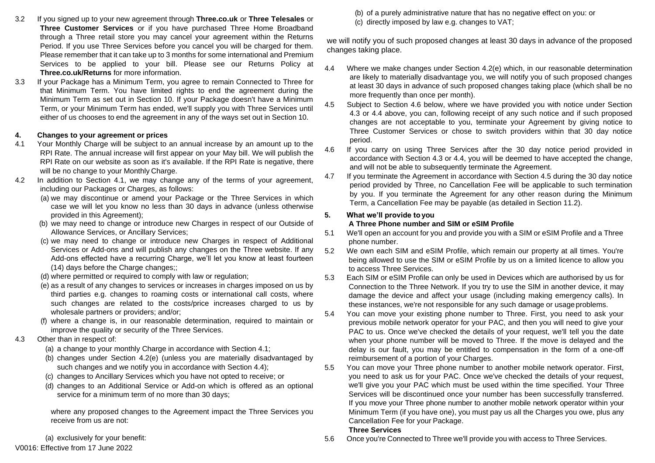- 3.2 If you signed up to your new agreement through **Three.co.uk** or **Three Telesales** or **Three Customer Services** or if you have purchased Three Home Broadband through a Three retail store you may cancel your agreement within the Returns Period. If you use Three Services before you cancel you will be charged for them. Please remember that it can take up to 3 months for some international and Premium Services to be applied to your bill. Please see our Returns Policy at **Three.co.uk/Returns** for more information.
- 3.3 If your Package has a Minimum Term, you agree to remain Connected to Three for that Minimum Term. You have limited rights to end the agreement during the Minimum Term as set out in Section 10. If your Package doesn't have a Minimum Term, or your Minimum Term has ended, we'll supply you with Three Services until either of us chooses to end the agreement in any of the ways set out in Section 10.

### **4. Changes to your agreement or prices**

- 4.1 Your Monthly Charge will be subject to an annual increase by an amount up to the RPI Rate. The annual increase will first appear on your May bill. We will publish the RPI Rate on our website as soon as it's available. If the RPI Rate is negative, there will be no change to your Monthly Charge.
- 4.2 In addition to Section 4.1, we may change any of the terms of your agreement, including our Packages or Charges, as follows:
	- (a) we may discontinue or amend your Package or the Three Services in which case we will let you know no less than 30 days in advance (unless otherwise provided in this Agreement);
	- (b) we may need to change or introduce new Charges in respect of our Outside of Allowance Services, or Ancillary Services;
	- (c) we may need to change or introduce new Charges in respect of Additional Services or Add-ons and will publish any changes on the Three website. If any Add-ons effected have a recurring Charge, we'll let you know at least fourteen (14) days before the Charge changes;;
	- (d) where permitted or required to comply with law or regulation;
	- (e) as a result of any changes to services or increases in charges imposed on us by third parties e.g. changes to roaming costs or international call costs, where such changes are related to the costs/price increases charged to us by wholesale partners or providers; and/or;
	- (f) where a change is, in our reasonable determination, required to maintain or improve the quality or security of the Three Services.
- 4.3 Other than in respect of:
	- (a) a change to your monthly Charge in accordance with Section 4.1;
	- (b) changes under Section 4.2(e) (unless you are materially disadvantaged by such changes and we notify you in accordance with Section 4.4);
	- (c) changes to Ancillary Services which you have not opted to receive; or
	- (d) changes to an Additional Service or Add-on which is offered as an optional service for a minimum term of no more than 30 days;

where any proposed changes to the Agreement impact the Three Services you receive from us are not:

(a) exclusively for your benefit:

### V0016: Effective from 17 June 2022

(b) of a purely administrative nature that has no negative effect on you: or (c) directly imposed by law e.g. changes to VAT;

we will notify you of such proposed changes at least 30 days in advance of the proposed changes taking place.

- 4.4 Where we make changes under Section 4.2(e) which, in our reasonable determination are likely to materially disadvantage you, we will notify you of such proposed changes at least 30 days in advance of such proposed changes taking place (which shall be no more frequently than once per month).
- 4.5 Subject to Section 4.6 below, where we have provided you with notice under Section 4.3 or 4.4 above, you can, following receipt of any such notice and if such proposed changes are not acceptable to you, terminate your Agreement by giving notice to Three Customer Services or chose to switch providers within that 30 day notice period.
- 4.6 If you carry on using Three Services after the 30 day notice period provided in accordance with Section 4.3 or 4.4, you will be deemed to have accepted the change, and will not be able to subsequently terminate the Agreement.
- 4.7 If you terminate the Agreement in accordance with Section 4.5 during the 30 day notice period provided by Three, no Cancellation Fee will be applicable to such termination by you. If you terminate the Agreement for any other reason during the Minimum Term, a Cancellation Fee may be payable (as detailed in Section 11.2).

### **5. What we'll provide toyou**

### **A Three Phone number and SIM or eSIM Profile**

- 5.1 We'll open an account for you and provide you with a SIM or eSIM Profile and a Three phone number.
- 5.2 We own each SIM and eSIM Profile, which remain our property at all times. You're being allowed to use the SIM or eSIM Profile by us on a limited licence to allow you to access Three Services.
- 5.3 Each SIM or eSIM Profile can only be used in Devices which are authorised by us for Connection to the Three Network. If you try to use the SIM in another device, it may damage the device and affect your usage (including making emergency calls). In these instances, we're not responsible for any such damage or usage problems.
- 5.4 You can move your existing phone number to Three. First, you need to ask your previous mobile network operator for your PAC, and then you will need to give your PAC to us. Once we've checked the details of your request, we'll tell you the date when your phone number will be moved to Three. If the move is delayed and the delay is our fault, you may be entitled to compensation in the form of a one-off reimbursement of a portion of your Charges.
- 5.5 You can move your Three phone number to another mobile network operator. First, you need to ask us for your PAC. Once we've checked the details of your request, we'll give you your PAC which must be used within the time specified. Your Three Services will be discontinued once your number has been successfully transferred. If you move your Three phone number to another mobile network operator within your Minimum Term (if you have one), you must pay us all the Charges you owe, plus any Cancellation Fee for your Package.

### **Three Services**

5.6 Once you're Connected to Three we'll provide you with access to Three Services.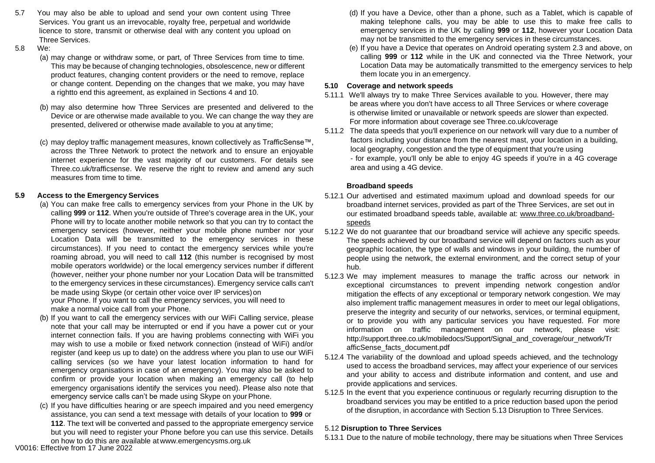- 5.7 You may also be able to upload and send your own content using Three Services. You grant us an irrevocable, royalty free, perpetual and worldwide licence to store, transmit or otherwise deal with any content you upload on Three Services.
- 5.8 We:
	- (a) may change or withdraw some, or part, of Three Services from time to time. This may be because of changing technologies, obsolescence, new or different product features, changing content providers or the need to remove, replace or change content. Depending on the changes that we make, you may have a rightto end this agreement, as explained in Sections 4 and 10.
	- (b) may also determine how Three Services are presented and delivered to the Device or are otherwise made available to you. We can change the way they are presented, delivered or otherwise made available to you at any time;
	- (c) may deploy traffic management measures, known collectively as TrafficSense™, across the Three Network to protect the network and to ensure an enjoyable internet experience for the vast majority of our customers. For details see Three.co.uk/trafficsense. We reserve the right to review and amend any such measures from time to time.

### **5.9 Access to the Emergency Services**

- (a) You can make free calls to emergency services from your Phone in the UK by calling **999** or **112**. When you're outside of Three's coverage area in the UK, your Phone will try to locate another mobile network so that you can try to contact the emergency services (however, neither your mobile phone number nor your Location Data will be transmitted to the emergency services in these circumstances). If you need to contact the emergency services while you're roaming abroad, you will need to call **112** (this number is recognised by most mobile operators worldwide) or the local emergency services number if different (however, neither your phone number nor your Location Data will be transmitted to the emergency services in these circumstances). Emergency service calls can't be made using Skype (or certain other voice over IP services)on your Phone. If you want to call the emergency services, you will need to make a normal voice call from your Phone.
- (b) If you want to call the emergency services with our WiFi Calling service, please note that your call may be interrupted or end if you have a power cut or your internet connection fails. If you are having problems connecting with WiFi you may wish to use a mobile or fixed network connection (instead of WiFi) and/or register (and keep us up to date) on the address where you plan to use our WiFi calling services (so we have your latest location information to hand for emergency organisations in case of an emergency). You may also be asked to confirm or provide your location when making an emergency call (to help emergency organisations identify the services you need). Please also note that emergency service calls can't be made using Skype on your Phone.
- (c) If you have difficulties hearing or are speech impaired and you need emergency assistance, you can send a text message with details of your location to **999** or **112**. The text will be converted and passed to the appropriate emergency service but you will need to register your Phone before you can use this service. Details on how to do this are available [at](http://www.emergencysms.org.uk/) [www.emergencysms.org.uk](http://www.emergencysms.org.uk/)
- (d) If you have a Device, other than a phone, such as a Tablet, which is capable of making telephone calls, you may be able to use this to make free calls to emergency services in the UK by calling **999** or **112**, however your Location Data may not be transmitted to the emergency services in these circumstances.
- (e) If you have a Device that operates on Android operating system 2.3 and above, on calling **999** or **112** while in the UK and connected via the Three Network, your Location Data may be automatically transmitted to the emergency services to help them locate you in an emergency.

### **5.10 Coverage and network speeds**

- 5.11.1 We'll always try to make Three Services available to you. However, there may be areas where you don't have access to all Three Services or where coverage is otherwise limited or unavailable or network speeds are slower than expected. For more information about coverage see Three.co.uk/coverage
- 5.11.2 The data speeds that you'll experience on our network will vary due to a number of factors including your distance from the nearest mast, your location in a building, local geography, congestion and the type of equipment that you're using - for example, you'll only be able to enjoy 4G speeds if you're in a 4G coverage area and using a 4G device.

### **Broadband speeds**

- 5.12.1 Our advertised and estimated maximum upload and download speeds for our broadband internet services, provided as part of the Three Services, are set out in our estimated broadband speeds table, available at: [www.three.co.uk/broadband](http://www.three.co.uk/broadband-speeds)[speeds](http://www.three.co.uk/broadband-speeds)
- 5.12.2 We do not guarantee that our broadband service will achieve any specific speeds. The speeds achieved by our broadband service will depend on factors such as your geographic location, the type of walls and windows in your building, the number of people using the network, the external environment, and the correct setup of your hub.
- 5.12.3 We may implement measures to manage the traffic across our network in exceptional circumstances to prevent impending network congestion and/or mitigation the effects of any exceptional or temporary network congestion. We may also implement traffic management measures in order to meet our legal obligations, preserve the integrity and security of our networks, services, or terminal equipment, or to provide you with any particular services you have requested. For more information on traffic management on our network, please visit: [http://support.three.co.uk/mobiledocs/Support/Signal\\_and\\_coverage/our\\_network/Tr](http://support.three.co.uk/mobiledocs/Support/Signal_and_coverage/our_network/TrafficSense_facts_document.pdf) [afficSense\\_facts\\_document.pdf](http://support.three.co.uk/mobiledocs/Support/Signal_and_coverage/our_network/TrafficSense_facts_document.pdf)
- 5.12.4 The variability of the download and upload speeds achieved, and the technology used to access the broadband services, may affect your experience of our services and your ability to access and distribute information and content, and use and provide applications and services.
- 5.12.5 In the event that you experience continuous or regularly recurring disruption to the broadband services you may be entitled to a price reduction based upon the period of the disruption, in accordance with Section 5.13 Disruption to Three Services.

### 5.12 **Disruption to Three Services**

5.13.1 Due to the nature of mobile technology, there may be situations when Three Services

V0016: Effective from 17 June 2022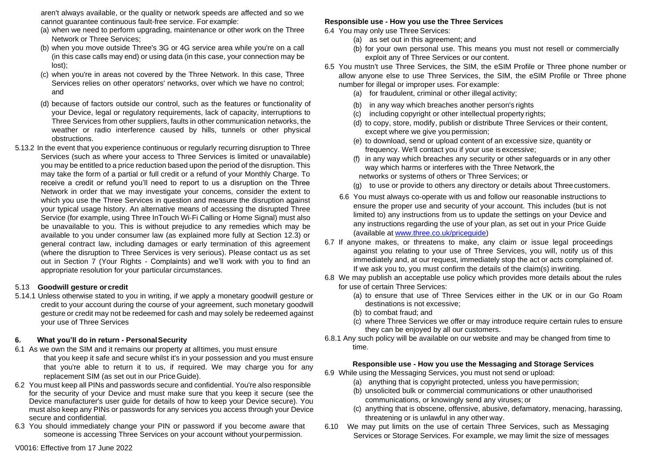aren't always available, or the quality or network speeds are affected and so we cannot guarantee continuous fault-free service. For example:

- (a) when we need to perform upgrading, maintenance or other work on the Three Network or Three Services;
- (b) when you move outside Three's 3G or 4G service area while you're on a call (in this case calls may end) or using data (in this case, your connection may be lost);
- (c) when you're in areas not covered by the Three Network. In this case, Three Services relies on other operators' networks, over which we have no control; and
- (d) because of factors outside our control, such as the features or functionality of your Device, legal or regulatory requirements, lack of capacity, interruptions to Three Services from other suppliers, faults in other communication networks, the weather or radio interference caused by hills, tunnels or other physical obstructions.
- 5.13.2 In the event that you experience continuous or regularly recurring disruption to Three Services (such as where your access to Three Services is limited or unavailable) you may be entitled to a price reduction based upon the period of the disruption. This may take the form of a partial or full credit or a refund of your Monthly Charge. To receive a credit or refund you'll need to report to us a disruption on the Three Network in order that we may investigate your concerns, consider the extent to which you use the Three Services in question and measure the disruption against your typical usage history. An alternative means of accessing the disrupted Three Service (for example, using Three InTouch Wi-Fi Calling or Home Signal) must also be unavailable to you. This is without prejudice to any remedies which may be available to you under consumer law (as explained more fully at Section 12.3) or general contract law, including damages or early termination of this agreement (where the disruption to Three Services is very serious). Please contact us as set out in Section 7 (Your Rights - Complaints) and we'll work with you to find an appropriate resolution for your particular circumstances.

#### 5.13 **Goodwill gesture or credit**

5.14.1 Unless otherwise stated to you in writing, if we apply a monetary goodwill gesture or credit to your account during the course of your agreement, such monetary goodwill gesture or credit may not be redeemed for cash and may solely be redeemed against your use of Three Services

#### **6. What you'll do in return - PersonalSecurity**

- 6.1 As we own the SIM and it remains our property at alltimes, you must ensure that you keep it safe and secure whilst it's in your possession and you must ensure that you're able to return it to us, if required. We may charge you for any replacement SIM (as set out in our Price Guide).
- 6.2 You must keep all PINs and passwords secure and confidential. You're also responsible for the security of your Device and must make sure that you keep it secure (see the Device manufacturer's user guide for details of how to keep your Device secure). You must also keep any PINs or passwords for any services you access through your Device secure and confidential.
- 6.3 You should immediately change your PIN or password if you become aware that someone is accessing Three Services on your account without yourpermission.

### **Responsible use - How you use the Three Services**

- 6.4 You may only use Three Services:
	- (a) as set out in this agreement; and
	- (b) for your own personal use. This means you must not resell or commercially exploit any of Three Services or our content.
- 6.5 You mustn't use Three Services, the SIM, the eSIM Profile or Three phone number or allow anyone else to use Three Services, the SIM, the eSIM Profile or Three phone number for illegal or improper uses. For example:
	- (a) for fraudulent, criminal or other illegal activity;
	- (b) in any way which breaches another person's rights
	- (c) including copyright or other intellectual property rights;
	- (d) to copy, store, modify, publish or distribute Three Services or their content, except where we give you permission;
	- (e) to download, send or upload content of an excessive size, quantity or frequency. We'll contact you if your use is excessive;
	- (f) in any way which breaches any security or other safeguards or in any other way which harms or interferes with the Three Network, the networks or systems of others or Three Services; or
	- (g) to use or provide to others any directory or details about Threecustomers.
	- 6.6 You must always co-operate with us and follow our reasonable instructions to ensure the proper use and security of your account. This includes (but is not limited to) any instructions from us to update the settings on your Device and any instructions regarding the use of your plan, as set out in your Price Guide (available at [www.three.co.uk/priceguide\)](http://www.three.co.uk/priceguide)
- 6.7 If anyone makes, or threatens to make, any claim or issue legal proceedings against you relating to your use of Three Services, you will, notify us of this immediately and, at our request, immediately stop the act or acts complained of. If we ask you to, you must confirm the details of the claim(s) inwriting.
- 6.8 We may publish an acceptable use policy which provides more details about the rules for use of certain Three Services:
	- (a) to ensure that use of Three Services either in the UK or in our Go Roam destinations is not excessive;
	- (b) to combat fraud; and
	- (c) where Three Services we offer or may introduce require certain rules to ensure they can be enjoyed by all our customers.
- 6.8.1 Any such policy will be available on our website and may be changed from time to time.

#### **Responsible use - How you use the Messaging and Storage Services**

- 6.9 While using the Messaging Services, you must not send or upload:
	- (a) anything that is copyright protected, unless you have permission;
	- (b) unsolicited bulk or commercial communications or other unauthorised communications, or knowingly send any viruses; or
	- (c) anything that is obscene, offensive, abusive, defamatory, menacing, harassing, threatening or is unlawful in any other way.
- 6.10 We may put limits on the use of certain Three Services, such as Messaging Services or Storage Services. For example, we may limit the size of messages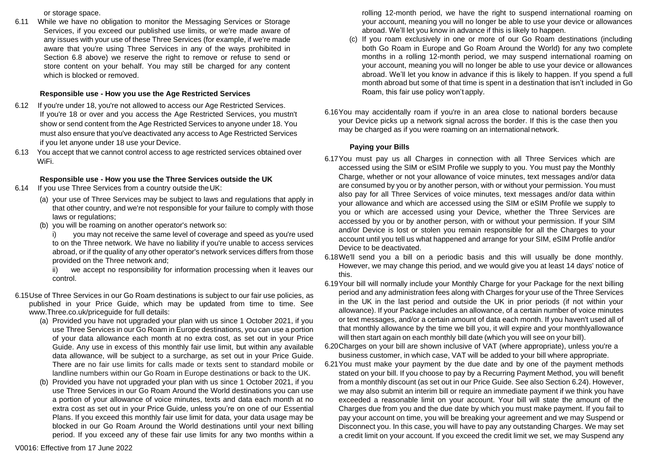or storage space.

6.11 While we have no obligation to monitor the Messaging Services or Storage Services, if you exceed our published use limits, or we're made aware of any issues with your use of these Three Services (for example, if we're made aware that you're using Three Services in any of the ways prohibited in Section 6.8 above) we reserve the right to remove or refuse to send or store content on your behalf. You may still be charged for any content which is blocked or removed.

### **Responsible use - How you use the Age Restricted Services**

- 6.12 If you're under 18, you're not allowed to access our Age Restricted Services. If you're 18 or over and you access the Age Restricted Services, you mustn't show or send content from the Age Restricted Services to anyone under 18. You must also ensure that you've deactivated any access to Age Restricted Services if you let anyone under 18 use your Device.
- 6.13 You accept that we cannot control access to age restricted services obtained over WiFi.

### **Responsible use - How you use the Three Services outside the UK**

- 6.14 If you use Three Services from a country outside theUK:
	- (a) your use of Three Services may be subject to laws and regulations that apply in that other country, and we're not responsible for your failure to comply with those laws or regulations:
	- (b) you will be roaming on another operator's network so:

i) you may not receive the same level of coverage and speed as you're used to on the Three network. We have no liability if you're unable to access services abroad, or if the quality of any other operator's network services differs from those provided on the Three network and;

ii) we accept no responsibility for information processing when it leaves our control.

- 6.15Use of Three Services in our Go Roam destinations is subject to our fair use policies, as published in your Price Guide, which may be updated from time to time. See [www.Three.co.uk/priceguide fo](http://www.three.co.uk/priceguide)r full details:
	- (a) Provided you have not upgraded your plan with us since 1 October 2021, if you use Three Services in our Go Roam in Europe destinations, you can use a portion of your data allowance each month at no extra cost, as set out in your Price Guide. Any use in excess of this monthly fair use limit, but within any available data allowance, will be subject to a surcharge, as set out in your Price Guide. There are no fair use limits for calls made or texts sent to standard mobile or landline numbers within our Go Roam in Europe destinations or back to the UK.
	- (b) Provided you have not upgraded your plan with us since 1 October 2021, if you use Three Services in our Go Roam Around the World destinations you can use a portion of your allowance of voice minutes, texts and data each month at no extra cost as set out in your Price Guide, unless you're on one of our Essential Plans. If you exceed this monthly fair use limit for data, your data usage may be blocked in our Go Roam Around the World destinations until your next billing period. If you exceed any of these fair use limits for any two months within a

rolling 12-month period, we have the right to suspend international roaming on your account, meaning you will no longer be able to use your device or allowances abroad. We'll let you know in advance if this is likely to happen.

- (c) If you roam exclusively in one or more of our Go Roam destinations (including both Go Roam in Europe and Go Roam Around the World) for any two complete months in a rolling 12-month period, we may suspend international roaming on your account, meaning you will no longer be able to use your device or allowances abroad. We'll let you know in advance if this is likely to happen. If you spend a full month abroad but some of that time is spent in a destination that isn't included in Go Roam, this fair use policy won't apply.
- 6.16You may accidentally roam if you're in an area close to national borders because your Device picks up a network signal across the border. If this is the case then you may be charged as if you were roaming on an international network.

### **Paying your Bills**

- 6.17You must pay us all Charges in connection with all Three Services which are accessed using the SIM or eSIM Profile we supply to you. You must pay the Monthly Charge, whether or not your allowance of voice minutes, text messages and/or data are consumed by you or by another person, with or without your permission. You must also pay for all Three Services of voice minutes, text messages and/or data within your allowance and which are accessed using the SIM or eSIM Profile we supply to you or which are accessed using your Device, whether the Three Services are accessed by you or by another person, with or without your permission. If your SIM and/or Device is lost or stolen you remain responsible for all the Charges to your account until you tell us what happened and arrange for your SIM, eSIM Profile and/or Device to be deactivated.
- 6.18We'll send you a bill on a periodic basis and this will usually be done monthly. However, we may change this period, and we would give you at least 14 days' notice of this.
- 6.19Your bill will normally include your Monthly Charge for your Package for the next billing period and any administration fees along with Charges for your use of the Three Services in the UK in the last period and outside the UK in prior periods (if not within your allowance). If your Package includes an allowance, of a certain number of voice minutes or text messages, and/or a certain amount of data each month. If you haven't used all of that monthly allowance by the time we bill you, it will expire and your monthlyallowance will then start again on each monthly bill date (which you will see on your bill).
- 6.20Charges on your bill are shown inclusive of VAT (where appropriate), unless you're a business customer, in which case, VAT will be added to your bill where appropriate.
- 6.21You must make your payment by the due date and by one of the payment methods stated on your bill. If you choose to pay by a Recurring Payment Method, you will benefit from a monthly discount (as set out in our Price Guide. See also Section 6.24). However, we may also submit an interim bill or require an immediate payment if we think you have exceeded a reasonable limit on your account. Your bill will state the amount of the Charges due from you and the due date by which you must make payment. If you fail to pay your account on time, you will be breaking your agreement and we may Suspend or Disconnect you. In this case, you will have to pay any outstanding Charges. We may set a credit limit on your account. If you exceed the credit limit we set, we may Suspend any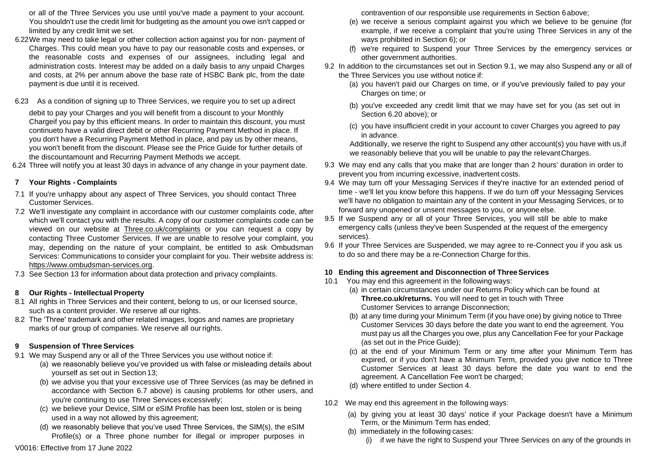or all of the Three Services you use until you've made a payment to your account. You shouldn't use the credit limit for budgeting as the amount you owe isn't capped or limited by any credit limit we set.

- 6.22We may need to take legal or other collection action against you for non- payment of Charges. This could mean you have to pay our reasonable costs and expenses, or the reasonable costs and expenses of our assignees, including legal and administration costs. Interest may be added on a daily basis to any unpaid Charges and costs, at 2% per annum above the base rate of HSBC Bank plc, from the date payment is due until it is received.
- 6.23 As a condition of signing up to Three Services, we require you to set up adirect

debit to pay your Charges and you will benefit from a discount to your Monthly Chargeif you pay by this efficient means. In order to maintain this discount, you must continueto have a valid direct debit or other Recurring Payment Method in place. If you don't have a Recurring Payment Method in place, and pay us by other means, you won't benefit from the discount. Please see the Price Guide for further details of the discountamount and Recurring Payment Methods we accept.

6.24 Three will notify you at least 30 days in advance of any change in your payment date.

### **7 Your Rights - Complaints**

- 7.1 If you're unhappy about any aspect of Three Services, you should contact Three Customer Services.
- 7.2 We'll investigate any complaint in accordance with our customer complaints code, after which we'll contact you with the results. A copy of our customer complaints code can be viewed on our website at Three.co.uk/complaints or you can request a copy by contacting Three Customer Services. If we are unable to resolve your complaint, you may, depending on the nature of your complaint, be entitled to ask Ombudsman Services: Communications to consider your complaint for you. Their website address is: https://www.ombudsma[n-services.org.](https://www.ombudsman-services.org/)
- 7.3 See Section 13 for information about data protection and privacy complaints.

### **8 Our Rights - Intellectual Property**

- 8.1 All rights in Three Services and their content, belong to us, or our licensed source, such as a content provider. We reserve all our rights.
- 8.2 The 'Three' trademark and other related images, logos and names are proprietary marks of our group of companies. We reserve all our rights.

### **9 Suspension of Three Services**

- 9.1 We may Suspend any or all of the Three Services you use without notice if:
	- (a) we reasonably believe you've provided us with false or misleading details about yourself as set out in Section 13;
	- (b) we advise you that your excessive use of Three Services (as may be defined in accordance with Section 6.7 above) is causing problems for other users, and you're continuing to use Three Services excessively;
	- (c) we believe your Device, SIM or eSIM Profile has been lost, stolen or is being used in a way not allowed by this agreement;
	- (d) we reasonably believe that you've used Three Services, the SIM(s), the eSIM Profile(s) or a Three phone number for illegal or improper purposes in

contravention of our responsible use requirements in Section 6above;

- (e) we receive a serious complaint against you which we believe to be genuine (for example, if we receive a complaint that you're using Three Services in any of the ways prohibited in Section 6); or
- (f) we're required to Suspend your Three Services by the emergency services or other government authorities.
- 9.2 In addition to the circumstances set out in Section 9.1, we may also Suspend any or all of the Three Services you use without notice if:
	- (a) you haven't paid our Charges on time, or if you've previously failed to pay your Charges on time; or
	- (b) you've exceeded any credit limit that we may have set for you (as set out in Section 6.20 above); or
	- (c) you have insufficient credit in your account to cover Charges you agreed to pay in advance.

Additionally, we reserve the right to Suspend any other account(s) you have with us,if we reasonably believe that you will be unable to pay the relevantCharges.

- 9.3 We may end any calls that you make that are longer than 2 hours' duration in order to prevent you from incurring excessive, inadvertent costs.
- 9.4 We may turn off your Messaging Services if they're inactive for an extended period of time - we'll let you know before this happens. If we do turn off your Messaging Services we'll have no obligation to maintain any of the content in your Messaging Services, or to forward any unopened or unsent messages to you, or anyone else.
- 9.5 If we Suspend any or all of your Three Services, you will still be able to make emergency calls (unless they've been Suspended at the request of the emergency services).
- 9.6 If your Three Services are Suspended, we may agree to re-Connect you if you ask us to do so and there may be a re-Connection Charge forthis.

### **10 Ending this agreement and Disconnection of ThreeServices**

- 10.1 You may end this agreement in the following ways:
	- (a) in certain circumstances under our Returns Policy which can be found at **Three.co.uk/returns.** You will need to get in touch with Three Customer Services to arrange Disconnection;
	- (b) at any time during your Minimum Term (if you have one) by giving notice to Three Customer Services 30 days before the date you want to end the agreement. You must pay us all the Charges you owe, plus any Cancellation Fee for your Package (as set out in the Price Guide);
	- (c) at the end of your Minimum Term or any time after your Minimum Term has expired, or if you don't have a Minimum Term, provided you give notice to Three Customer Services at least 30 days before the date you want to end the agreement. A Cancellation Fee won't be charged;
	- (d) where entitled to under Section 4.
- 10.2 We may end this agreement in the following ways:
	- (a) by giving you at least 30 days' notice if your Package doesn't have a Minimum Term, or the Minimum Term has ended;
	- (b) immediately in the following cases:
		- (i) if we have the right to Suspend your Three Services on any of the grounds in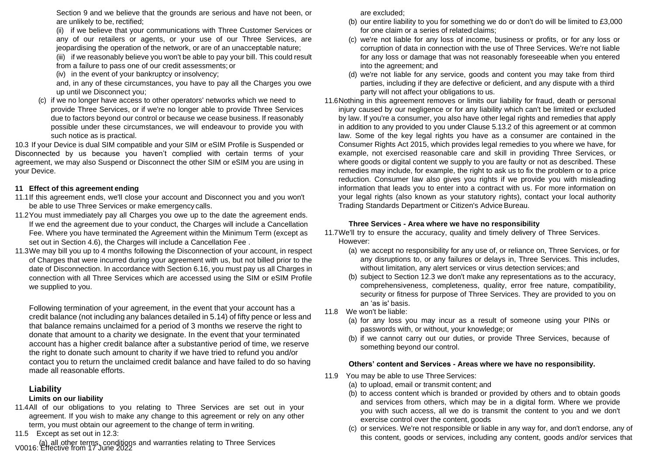Section 9 and we believe that the grounds are serious and have not been, or are unlikely to be, rectified;

(ii) if we believe that your communications with Three Customer Services or any of our retailers or agents, or your use of our Three Services, are jeopardising the operation of the network, or are of an unacceptable nature;

(iii) if we reasonably believe you won't be able to pay your bill. This could result from a failure to pass one of our credit assessments; or

(iv) in the event of your bankruptcy or insolvency;

and, in any of these circumstances, you have to pay all the Charges you owe up until we Disconnect you;

(c) if we no longer have access to other operators' networks which we need to provide Three Services, or if we're no longer able to provide Three Services due to factors beyond our control or because we cease business. If reasonably possible under these circumstances, we will endeavour to provide you with such notice as is practical.

10.3 If your Device is dual SIM compatible and your SIM or eSIM Profile is Suspended or Disconnected by us because you haven't complied with certain terms of your agreement, we may also Suspend or Disconnect the other SIM or eSIM you are using in your Device.

### **11 Effect of this agreement ending**

- 11.1If this agreement ends, we'll close your account and Disconnect you and you won't be able to use Three Services or make emergency calls.
- 11.2You must immediately pay all Charges you owe up to the date the agreement ends. If we end the agreement due to your conduct, the Charges will include a Cancellation Fee. Where you have terminated the Agreement within the Minimum Term (except as set out in Section 4.6), the Charges will include a Cancellation Fee .
- 11.3We may bill you up to 4 months following the Disconnection of your account, in respect of Charges that were incurred during your agreement with us, but not billed prior to the date of Disconnection. In accordance with Section 6.16, you must pay us all Charges in connection with all Three Services which are accessed using the SIM or eSIM Profile we supplied to you.

Following termination of your agreement, in the event that your account has a credit balance (not including any balances detailed in 5.14) of fifty pence or less and that balance remains unclaimed for a period of 3 months we reserve the right to donate that amount to a charity we designate. In the event that your terminated account has a higher credit balance after a substantive period of time, we reserve the right to donate such amount to charity if we have tried to refund you and/or contact you to return the unclaimed credit balance and have failed to do so having made all reasonable efforts.

### **Liability**

### **Limits on our liability**

- 11.4All of our obligations to you relating to Three Services are set out in your agreement. If you wish to make any change to this agreement or rely on any other term, you must obtain our agreement to the change of term in writing.
- 11.5 Except as set out in 12.3:

V0016: Effective from 17 June 2022 (a) all other terms, conditions and warranties relating to Three Services

are excluded;

- (b) our entire liability to you for something we do or don't do will be limited to £3,000 for one claim or a series of related claims;
- (c) we're not liable for any loss of income, business or profits, or for any loss or corruption of data in connection with the use of Three Services. We're not liable for any loss or damage that was not reasonably foreseeable when you entered into the agreement; and
- (d) we're not liable for any service, goods and content you may take from third parties, including if they are defective or deficient, and any dispute with a third party will not affect your obligations to us.
- 11.6Nothing in this agreement removes or limits our liability for fraud, death or personal injury caused by our negligence or for any liability which can't be limited or excluded by law. If you're a consumer, you also have other legal rights and remedies that apply in addition to any provided to you under Clause 5.13.2 of this agreement or at common law. Some of the key legal rights you have as a consumer are contained in the Consumer Rights Act 2015, which provides legal remedies to you where we have, for example, not exercised reasonable care and skill in providing Three Services, or where goods or digital content we supply to you are faulty or not as described. These remedies may include, for example, the right to ask us to fix the problem or to a price reduction. Consumer law also gives you rights if we provide you with misleading information that leads you to enter into a contract with us. For more information on your legal rights (also known as your statutory rights), contact your local authority Trading Standards Department or Citizen's Advice Bureau.

### **Three Services - Area where we have no responsibility**

11.7We'll try to ensure the accuracy, quality and timely delivery of Three Services. However:

- (a) we accept no responsibility for any use of, or reliance on, Three Services, or for any disruptions to, or any failures or delays in, Three Services. This includes, without limitation, any alert services or virus detection services; and
- (b) subject to Section 12.3 we don't make any representations as to the accuracy, comprehensiveness, completeness, quality, error free nature, compatibility, security or fitness for purpose of Three Services. They are provided to you on an 'as is' basis.
- 11.8 We won't be liable:
	- (a) for any loss you may incur as a result of someone using your PINs or passwords with, or without, your knowledge; or
	- (b) if we cannot carry out our duties, or provide Three Services, because of something beyond our control.

### **Others' content and Services - Areas where we have no responsibility.**

- 11.9 You may be able to use Three Services:
	- (a) to upload, email or transmit content; and
	- (b) to access content which is branded or provided by others and to obtain goods and services from others, which may be in a digital form. Where we provide you with such access, all we do is transmit the content to you and we don't exercise control over the content, goods
	- (c) or services. We're not responsible or liable in any way for, and don't endorse, any of this content, goods or services, including any content, goods and/or services that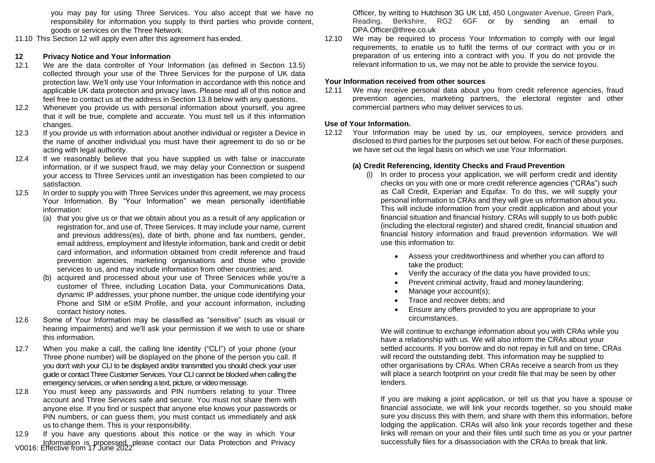you may pay for using Three Services. You also accept that we have no responsibility for information you supply to third parties who provide content, goods or services on the Three Network.

11.10 This Section 12 will apply even after this agreement has ended.

### **12 Privacy Notice and Your Information**

- 12.1 We are the data controller of Your Information (as defined in Section 13.5) collected through your use of the Three Services for the purpose of UK data protection law. We'll only use Your Information in accordance with this notice and applicable UK data protection and privacy laws. Please read all of this notice and feel free to contact us at the address in Section 13.8 below with any questions.
- 12.2 Whenever you provide us with personal information about yourself, you agree that it will be true, complete and accurate. You must tell us if this information changes.
- 12.3 If you provide us with information about another individual or register a Device in the name of another individual you must have their agreement to do so or be acting with legal authority.
- 12.4 If we reasonably believe that you have supplied us with false or inaccurate information, or if we suspect fraud, we may delay your Connection or suspend your access to Three Services until an investigation has been completed to our satisfaction.
- 12.5 In order to supply you with Three Services under this agreement, we may process Your Information. By "Your Information" we mean personally identifiable information:
	- (a) that you give us or that we obtain about you as a result of any application or registration for, and use of, Three Services. It may include your name, current and previous address(es), date of birth, phone and fax numbers, gender, email address, employment and lifestyle information, bank and credit or debit card information, and information obtained from credit reference and fraud prevention agencies, marketing organisations and those who provide services to us, and may include information from other countries;and.
	- (b) acquired and processed about your use of Three Services while you're a customer of Three, including Location Data, your Communications Data, dynamic IP addresses, your phone number, the unique code identifying your Phone and SIM or eSIM Profile, and your account information, including contact history notes.
- 12.6 Some of Your Information may be classified as "sensitive" (such as visual or hearing impairments) and we'll ask your permission if we wish to use or share this information.
- 12.7 When you make a call, the calling line identity ("CLI") of your phone (your Three phone number) will be displayed on the phone of the person you call. If you don't wish your CLI to be displayed and/or transmitted you should check your user guide or contact Three Customer Services. Your CLI cannot be blocked when calling the emergency services, or when sending a text, picture, or video message.
- 12.8 You must keep any passwords and PIN numbers relating to your Three account and Three Services safe and secure. You must not share them with anyone else. If you find or suspect that anyone else knows your passwords or PIN numbers, or can guess them, you must contact us immediately and ask us to change them. This is your responsibility.

V0016: Effective from 17 June 2022 Information is processed, please contact our Data Protection and Privacy 12.9 If you have any questions about this notice or the way in which Your Officer, by writing to Hutchison 3G UK Ltd, 450 Longwater Avenue, Green Park, Reading, Berkshire, RG2 6GF or by sending an email [to](mailto:DPA.Officer@three.co.uk) [DPA.Officer@three.co.uk](mailto:DPA.Officer@three.co.uk)

12.10 We may be required to process Your Information to comply with our legal requirements, to enable us to fulfil the terms of our contract with you or in preparation of us entering into a contract with you. If you do not provide the relevant information to us, we may not be able to provide the service toyou.

### **Your Information received from other sources**

12.11 We may receive personal data about you from credit reference agencies, fraud prevention agencies, marketing partners, the electoral register and other commercial partners who may deliver services to us.

### **Use of Your Information.**

12.12 Your Information may be used by us, our employees, service providers and disclosed to third parties for the purposes set out below. For each of these purposes, we have set out the legal basis on which we use Your Information.

### **(a) Credit Referencing, Identity Checks and Fraud Prevention**

- (i) In order to process your application, we will perform credit and identity checks on you with one or more credit reference agencies ("CRAs") such as Call Credit, Experian and Equifax. To do this, we will supply your personal information to CRAs and they will give us information about you. This will include information from your credit application and about your financial situation and financial history. CRAs will supply to us both public (including the electoral register) and shared credit, financial situation and financial history information and fraud prevention information. We will use this information to:
	- Assess your creditworthiness and whether you can afford to take the product;
	- Verify the accuracy of the data you have provided to us;
	- Prevent criminal activity, fraud and money laundering;
	- Manage your account(s);
	- Trace and recover debts; and
	- Ensure any offers provided to you are appropriate to your circumstances.

We will continue to exchange information about you with CRAs while you have a relationship with us. We will also inform the CRAs about your settled accounts. If you borrow and do not repay in full and on time, CRAs will record the outstanding debt. This information may be supplied to other organisations by CRAs. When CRAs receive a search from us they will place a search footprint on your credit file that may be seen by other lenders.

If you are making a joint application, or tell us that you have a spouse or financial associate, we will link your records together, so you should make sure you discuss this with them, and share with them this information, before lodging the application. CRAs will also link your records together and these links will remain on your and their files until such time as you or your partner successfully files for a disassociation with the CRAs to break that link.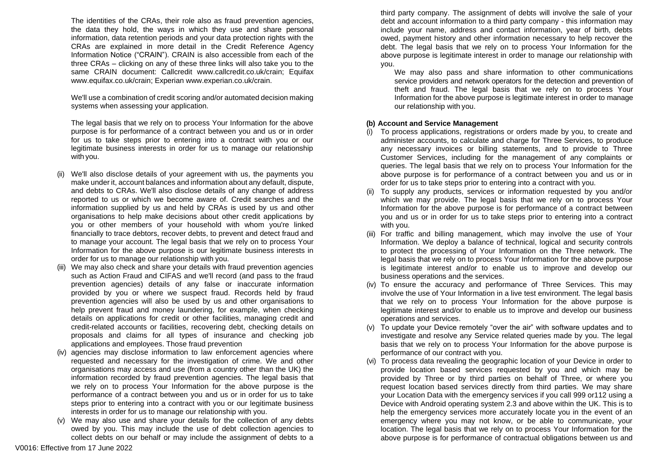The identities of the CRAs, their role also as fraud prevention agencies, the data they hold, the ways in which they use and share personal information, data retention periods and your data protection rights with the CRAs are explained in more detail in the Credit Reference Agency Information Notice ("CRAIN"). CRAIN is also accessible from each of the three CRAs – clicking on any of these three links will also take you to the same CRAIN document: Callcredit [www.callcredit.co.uk/crain;](http://www.callcredit.co.uk/crain%3B) Equifax [www.equifax.co.uk/crain;](http://www.equifax.co.uk/crain%3B) Experian [www.experian.co.uk/crain.](http://www.experian.co.uk/crain)

We'll use a combination of credit scoring and/or automated decision making systems when assessing your application.

The legal basis that we rely on to process Your Information for the above purpose is for performance of a contract between you and us or in order for us to take steps prior to entering into a contract with you or our legitimate business interests in order for us to manage our relationship with you.

- (ii) We'll also disclose details of your agreement with us, the payments you make under it, account balances and information about any default, dispute, and debts to CRAs. We'll also disclose details of any change of address reported to us or which we become aware of. Credit searches and the information supplied by us and held by CRAs is used by us and other organisations to help make decisions about other credit applications by you or other members of your household with whom you're linked financially to trace debtors, recover debts, to prevent and detect fraud and to manage your account. The legal basis that we rely on to process Your Information for the above purpose is our legitimate business interests in order for us to manage our relationship with you.
- (iii) We may also check and share your details with fraud prevention agencies such as Action Fraud and CIFAS and we'll record (and pass to the fraud prevention agencies) details of any false or inaccurate information provided by you or where we suspect fraud. Records held by fraud prevention agencies will also be used by us and other organisations to help prevent fraud and money laundering, for example, when checking details on applications for credit or other facilities, managing credit and credit-related accounts or facilities, recovering debt, checking details on proposals and claims for all types of insurance and checking job applications and employees. Those fraud prevention
- (iv) agencies may disclose information to law enforcement agencies where requested and necessary for the investigation of crime. We and other organisations may access and use (from a country other than the UK) the information recorded by fraud prevention agencies. The legal basis that we rely on to process Your Information for the above purpose is the performance of a contract between you and us or in order for us to take steps prior to entering into a contract with you or our legitimate business interests in order for us to manage our relationship with you.
- (v) We may also use and share your details for the collection of any debts owed by you. This may include the use of debt collection agencies to collect debts on our behalf or may include the assignment of debts to a

third party company. The assignment of debts will involve the sale of your debt and account information to a third party company - this information may include your name, address and contact information, year of birth, debts owed, payment history and other information necessary to help recover the debt. The legal basis that we rely on to process Your Information for the above purpose is legitimate interest in order to manage our relationship with you.

We may also pass and share information to other communications service providers and network operators for the detection and prevention of theft and fraud. The legal basis that we rely on to process Your Information for the above purpose is legitimate interest in order to manage our relationship with you.

#### **(b) Account and Service Management**

- (i) To process applications, registrations or orders made by you, to create and administer accounts, to calculate and charge for Three Services, to produce any necessary invoices or billing statements, and to provide to Three Customer Services, including for the management of any complaints or queries. The legal basis that we rely on to process Your Information for the above purpose is for performance of a contract between you and us or in order for us to take steps prior to entering into a contract with you.
- (ii) To supply any products, services or information requested by you and/or which we may provide. The legal basis that we rely on to process Your Information for the above purpose is for performance of a contract between you and us or in order for us to take steps prior to entering into a contract with you.
- (iii) For traffic and billing management, which may involve the use of Your Information. We deploy a balance of technical, logical and security controls to protect the processing of Your Information on the Three network. The legal basis that we rely on to process Your Information for the above purpose is legitimate interest and/or to enable us to improve and develop our business operations and the services.
- (iv) To ensure the accuracy and performance of Three Services. This may involve the use of Your Information in a live test environment. The legal basis that we rely on to process Your Information for the above purpose is legitimate interest and/or to enable us to improve and develop our business operations and services.
- (v) To update your Device remotely "over the air" with software updates and to investigate and resolve any Service related queries made by you. The legal basis that we rely on to process Your Information for the above purpose is performance of our contract with you.
- (vi) To process data revealing the geographic location of your Device in order to provide location based services requested by you and which may be provided by Three or by third parties on behalf of Three, or where you request location based services directly from third parties. We may share your Location Data with the emergency services if you call 999 or112 using a Device with Android operating system 2.3 and above within the UK. This is to help the emergency services more accurately locate you in the event of an emergency where you may not know, or be able to communicate, your location. The legal basis that we rely on to process Your Information for the above purpose is for performance of contractual obligations between us and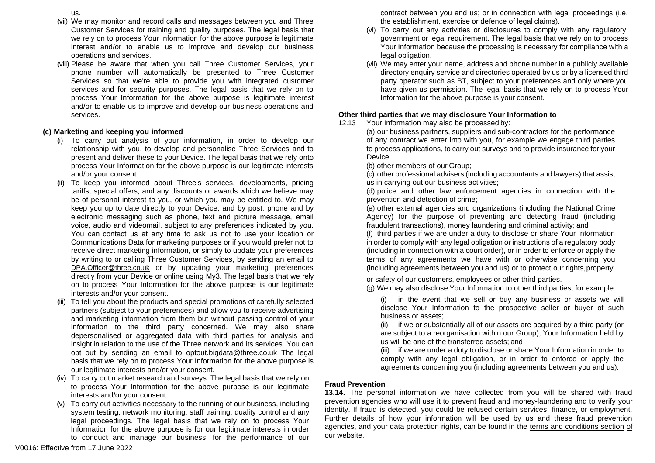- us.
- (vii) We may monitor and record calls and messages between you and Three Customer Services for training and quality purposes. The legal basis that we rely on to process Your Information for the above purpose is legitimate interest and/or to enable us to improve and develop our business operations and services.
- (viii) Please be aware that when you call Three Customer Services, your phone number will automatically be presented to Three Customer Services so that we're able to provide you with integrated customer services and for security purposes. The legal basis that we rely on to process Your Information for the above purpose is legitimate interest and/or to enable us to improve and develop our business operations and services.

### **(c) Marketing and keeping you informed**

- (i) To carry out analysis of your information, in order to develop our relationship with you, to develop and personalise Three Services and to present and deliver these to your Device. The legal basis that we rely onto process Your Information for the above purpose is our legitimate interests and/or your consent.
- (ii) To keep you informed about Three's services, developments, pricing tariffs, special offers, and any discounts or awards which we believe may be of personal interest to you, or which you may be entitled to. We may keep you up to date directly to your Device, and by post, phone and by electronic messaging such as phone, text and picture message, email voice, audio and videomail, subject to any preferences indicated by you. You can contact us at any time to ask us not to use your location or Communications Data for marketing purposes or if you would prefer not to receive direct marketing information, or simply to update your preferences by writing to or calling Three Customer Services, by sending an email to [DPA.Officer@three.co.uk](mailto:DPA.Officer@three.co.uk) or by updating your marketing preferences directly from your Device or online using My3. The legal basis that we rely on to process Your Information for the above purpose is our legitimate interests and/or your consent.
- To tell you about the products and special promotions of carefully selected partners (subject to your preferences) and allow you to receive advertising and marketing information from them but without passing control of your information to the third party concerned. We may also share depersonalised or aggregated data with third parties for analysis and insight in relation to the use of the Three network and its services. You can opt out by sending an email to [optout.bigdata@three.co.uk](mailto:optout.bigdata@three.co.uk) The legal basis that we rely on to process Your Information for the above purpose is our legitimate interests and/or your consent.
- (iv) To carry out market research and surveys. The legal basis that we rely on to process Your Information for the above purpose is our legitimate interests and/or your consent.
- (v) To carry out activities necessary to the running of our business, including system testing, network monitoring, staff training, quality control and any legal proceedings. The legal basis that we rely on to process Your Information for the above purpose is for our legitimate interests in order to conduct and manage our business; for the performance of our

contract between you and us; or in connection with legal proceedings (i.e. the establishment, exercise or defence of legal claims).

- (vi) To carry out any activities or disclosures to comply with any regulatory, government or legal requirement. The legal basis that we rely on to process Your Information because the processing is necessary for compliance with a legal obligation.
- (vii) We may enter your name, address and phone number in a publicly available directory enquiry service and directories operated by us or by a licensed third party operator such as BT, subject to your preferences and only where you have given us permission. The legal basis that we rely on to process Your Information for the above purpose is your consent.

### **Other third parties that we may disclosure Your Information to**

12.13 Your Information may also be processed by:

(a) our business partners, suppliers and sub-contractors for the performance of any contract we enter into with you, for example we engage third parties to process applications, to carry out surveys and to provide insurance for your Device.

(b) other members of our Group;

(c) other professional advisers (including accountants and lawyers) that assist us in carrying out our business activities;

(d) police and other law enforcement agencies in connection with the prevention and detection of crime;

(e) other external agencies and organizations (including the National Crime Agency) for the purpose of preventing and detecting fraud (including fraudulent transactions), money laundering and criminal activity; and

(f) third parties if we are under a duty to disclose or share Your Information in order to comply with any legal obligation or instructions of a regulatory body (including in connection with a court order), or in order to enforce or apply the terms of any agreements we have with or otherwise concerning you (including agreements between you and us) or to protect our rights,property

or safety of our customers, employees or other third parties.

(g) We may also disclose Your Information to other third parties, for example:

(i) in the event that we sell or buy any business or assets we will disclose Your Information to the prospective seller or buyer of such business or assets;

(ii) if we or substantially all of our assets are acquired by a third party (or are subject to a reorganisation within our Group), Your Information held by us will be one of the transferred assets; and

(iii) if we are under a duty to disclose or share Your Information in order to comply with any legal obligation, or in order to enforce or apply the agreements concerning you (including agreements between you and us).

### **Fraud Prevention**

**13.14.** The personal information we have collected from you will be shared with fraud prevention agencies who will use it to prevent fraud and money-laundering and to verify your identity. If fraud is detected, you could be refused certain services, finance, or employment. Further details of how your information will be used by us and these fraud prevention agencies, and your data protection rights, can be found in the [terms and conditions section](http://www.three.co.uk/terms-conditions/cifas-data-use-policy) [of](http://www.three.co.uk/terms-conditions/cifas-data-use-policy)  our [website.](http://www.three.co.uk/terms-conditions/cifas-data-use-policy)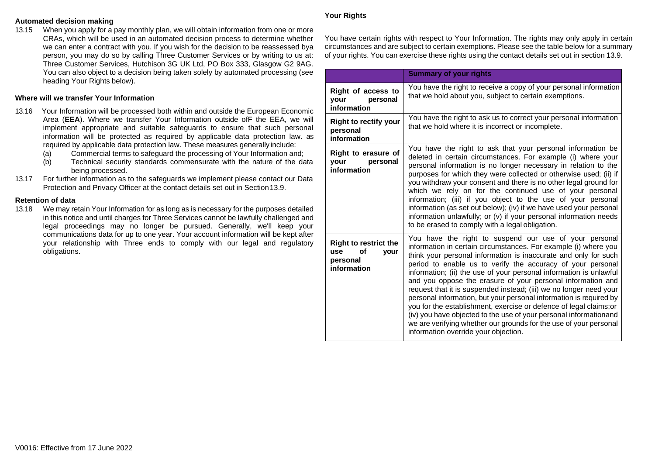#### **Automated decision making**

13.15 When you apply for a pay monthly plan, we will obtain information from one or more CRAs, which will be used in an automated decision process to determine whether we can enter a contract with you. If you wish for the decision to be reassessed bya person, you may do so by calling Three Customer Services or by writing to us at: Three Customer Services, Hutchison 3G UK Ltd, PO Box 333, Glasgow G2 9AG. You can also object to a decision being taken solely by automated processing (see heading Your Rights below).

### **Where will we transfer Your Information**

- 13.16 Your Information will be processed both within and outside the European Economic Area (**EEA**). Where we transfer Your Information outside ofF the EEA, we will implement appropriate and suitable safeguards to ensure that such personal information will be protected as required by applicable data protection law. as required by applicable data protection law. These measures generally include:
	- (a) Commercial terms to safeguard the processing of Your Information and;
	- (b) Technical security standards commensurate with the nature of the data being processed.
- 13.17 For further information as to the safeguards we implement please contact our Data Protection and Privacy Officer at the contact details set out in Section13.9.

#### **Retention of data**

13.18 We may retain Your Information for as long as is necessary for the purposes detailed in this notice and until charges for Three Services cannot be lawfully challenged and legal proceedings may no longer be pursued. Generally, we'll keep your communications data for up to one year. Your account information will be kept after your relationship with Three ends to comply with our legal and regulatory obligations.

#### **Your Rights**

You have certain rights with respect to Your Information. The rights may only apply in certain circumstances and are subject to certain exemptions. Please see the table below for a summary of your rights. You can exercise these rights using the contact details set out in section 13.9.

|                                                                              | <b>Summary of your rights</b>                                                                                                                                                                                                                                                                                                                                                                                                                                                                                                                                                                                                                                                                                                                                                                        |  |
|------------------------------------------------------------------------------|------------------------------------------------------------------------------------------------------------------------------------------------------------------------------------------------------------------------------------------------------------------------------------------------------------------------------------------------------------------------------------------------------------------------------------------------------------------------------------------------------------------------------------------------------------------------------------------------------------------------------------------------------------------------------------------------------------------------------------------------------------------------------------------------------|--|
| Right of access to<br>your<br>personal<br>information                        | You have the right to receive a copy of your personal information<br>that we hold about you, subject to certain exemptions.                                                                                                                                                                                                                                                                                                                                                                                                                                                                                                                                                                                                                                                                          |  |
| <b>Right to rectify your</b><br>personal<br>information                      | You have the right to ask us to correct your personal information<br>that we hold where it is incorrect or incomplete.                                                                                                                                                                                                                                                                                                                                                                                                                                                                                                                                                                                                                                                                               |  |
| Right to erasure of<br>personal<br>your<br>information                       | You have the right to ask that your personal information be<br>deleted in certain circumstances. For example (i) where your<br>personal information is no longer necessary in relation to the<br>purposes for which they were collected or otherwise used; (ii) if<br>you withdraw your consent and there is no other legal ground for<br>which we rely on for the continued use of your personal<br>information; (iii) if you object to the use of your personal<br>information (as set out below); (iv) if we have used your personal<br>information unlawfully; or (v) if your personal information needs<br>to be erased to comply with a legal obligation.                                                                                                                                      |  |
| <b>Right to restrict the</b><br>οf<br>use<br>your<br>personal<br>information | You have the right to suspend our use of your personal<br>information in certain circumstances. For example (i) where you<br>think your personal information is inaccurate and only for such<br>period to enable us to verify the accuracy of your personal<br>information; (ii) the use of your personal information is unlawful<br>and you oppose the erasure of your personal information and<br>request that it is suspended instead; (iii) we no longer need your<br>personal information, but your personal information is required by<br>you for the establishment, exercise or defence of legal claims; or<br>(iv) you have objected to the use of your personal informationand<br>we are verifying whether our grounds for the use of your personal<br>information override your objection. |  |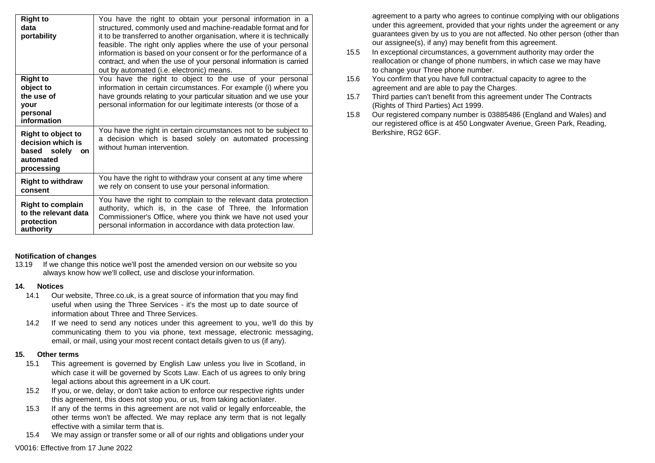| <b>Right to</b><br>data<br>portability                                                          | You have the right to obtain your personal information in a<br>structured, commonly used and machine-readable format and for<br>it to be transferred to another organisation, where it is technically<br>feasible. The right only applies where the use of your personal<br>information is based on your consent or for the performance of a<br>contract, and when the use of your personal information is carried<br>out by automated (i.e. electronic) means. |
|-------------------------------------------------------------------------------------------------|-----------------------------------------------------------------------------------------------------------------------------------------------------------------------------------------------------------------------------------------------------------------------------------------------------------------------------------------------------------------------------------------------------------------------------------------------------------------|
| <b>Right to</b><br>object to<br>the use of<br><b>vour</b><br>personal<br>information            | You have the right to object to the use of your personal<br>information in certain circumstances. For example (i) where you<br>have grounds relating to your particular situation and we use your<br>personal information for our legitimate interests (or those of a                                                                                                                                                                                           |
| Right to object to<br>decision which is<br>based solely<br><b>on</b><br>automated<br>processing | You have the right in certain circumstances not to be subject to<br>a decision which is based solely on automated processing<br>without human intervention.                                                                                                                                                                                                                                                                                                     |
| <b>Right to withdraw</b><br>consent                                                             | You have the right to withdraw your consent at any time where<br>we rely on consent to use your personal information.                                                                                                                                                                                                                                                                                                                                           |
| <b>Right to complain</b><br>to the relevant data<br>protection<br>authority                     | You have the right to complain to the relevant data protection<br>authority, which is, in the case of Three, the Information<br>Commissioner's Office, where you think we have not used your<br>personal information in accordance with data protection law.                                                                                                                                                                                                    |

### **Notification of changes**

13.19 If we change this notice we'll post the amended version on our website so you always know how we'll collect, use and disclose yourinformation.

### **14. Notices**

- 14.1 Our website, Three.co.uk, is a great source of information that you may find useful when using the Three Services - it's the most up to date source of information about Three and Three Services.
- 14.2 If we need to send any notices under this agreement to you, we'll do this by communicating them to you via phone, text message, electronic messaging, email, or mail, using your most recent contact details given to us (if any).

### **15. Other terms**

- 15.1 This agreement is governed by English Law unless you live in Scotland, in which case it will be governed by Scots Law. Each of us agrees to only bring legal actions about this agreement in a UK court.
- 15.2 If you, or we, delay, or don't take action to enforce our respective rights under this agreement, this does not stop you, or us, from taking actionlater.
- 15.3 If any of the terms in this agreement are not valid or legally enforceable, the other terms won't be affected. We may replace any term that is not legally effective with a similar term that is.
- 15.4 We may assign or transfer some or all of our rights and obligations under your

agreement to a party who agrees to continue complying with our obligations under this agreement, provided that your rights under the agreement or any guarantees given by us to you are not affected. No other person (other than our assignee(s), if any) may benefit from this agreement.

- 15.5 In exceptional circumstances, a government authority may order the reallocation or change of phone numbers, in which case we may have to change your Three phone number.
- 15.6 You confirm that you have full contractual capacity to agree to the agreement and are able to pay the Charges.
- 15.7 Third parties can't benefit from this agreement under The Contracts (Rights of Third Parties) Act 1999.
- 15.8 Our registered company number is 03885486 (England and Wales) and our registered office is at 450 Longwater Avenue, Green Park, Reading, Berkshire, RG2 6GF.

V0016: Effective from 17 June 2022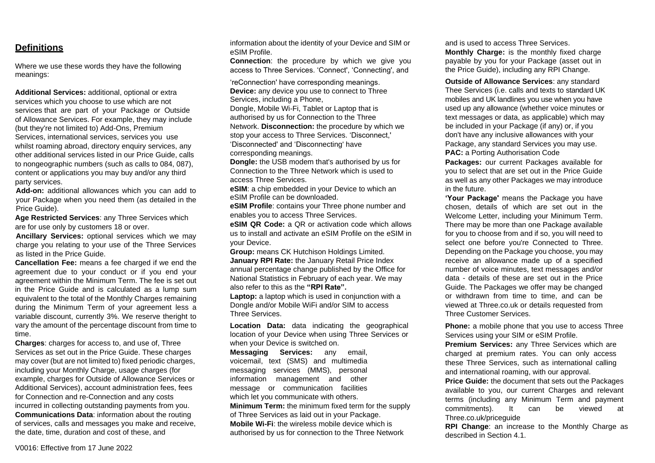### **Definitions**

Where we use these words they have the following meanings:

**Additional Services:** additional, optional or extra services which you choose to use which are not services that are part of your Package or Outside of Allowance Services. For example, they may include (but they're not limited to) Add-Ons, Premium Services, international services, services you use whilst roaming abroad, directory enquiry services, any other additional services listed in our Price Guide, calls to nongeographic numbers (such as calls to 084, 087), content or applications you may buy and/or any third party services.

**Add-on:** additional allowances which you can add to your Package when you need them (as detailed in the Price Guide).

**Age Restricted Services**: any Three Services which are for use only by customers 18 or over.

**Ancillary Services:** optional services which we may charge you relating to your use of the Three Services as listed in the Price Guide.

**Cancellation Fee:** means a fee charged if we end the agreement due to your conduct or if you end your agreement within the Minimum Term. The fee is set out in the Price Guide and is calculated as a lump sum equivalent to the total of the Monthly Charges remaining during the Minimum Term of your agreement less a variable discount, currently 3%. We reserve theright to vary the amount of the percentage discount from time to time.

**Charges**: charges for access to, and use of, Three Services as set out in the Price Guide. These charges may cover (but are not limited to) fixed periodic charges, including your Monthly Charge, usage charges (for example, charges for Outside of Allowance Services or Additional Services), account administration fees, fees for Connection and re-Connection and any costs incurred in collecting outstanding payments from you. **Communications Data**: information about the routing of services, calls and messages you make and receive, the date, time, duration and cost of these, and

information about the identity of your Device and SIM or eSIM Profile.

**Connection**: the procedure by which we give you access to Three Services. 'Connect', 'Connecting', and

'reConnection' have corresponding meanings. **Device:** any device you use to connect to Three Services, including a Phone,

Dongle, Mobile Wi-Fi, Tablet or Laptop that is authorised by us for Connection to the Three Network. **Disconnection:** the procedure by which we stop your access to Three Services. 'Disconnect,' 'Disconnected' and 'Disconnecting' have

corresponding meanings.

**Dongle:** the USB modem that's authorised by us for Connection to the Three Network which is used to access Three Services.

**eSIM**: a chip embedded in your Device to which an eSIM Profile can be downloaded.

**eSIM Profile**: contains your Three phone number and enables you to access Three Services.

**eSIM QR Code:** a QR or activation code which allows us to install and activate an eSIM Profile on the eSIM in your Device.

**Group:** means CK Hutchison Holdings Limited.

**January RPI Rate:** the January Retail Price Index annual percentage change published by the Office for National Statistics in February of each year. We may also refer to this as the **"RPI Rate".**

Laptop: a laptop which is used in conjunction with a Dongle and/or Mobile WiFi and/or SIM to access Three Services.

**Location Data:** data indicating the geographical location of your Device when using Three Services or when your Device is switched on.

**Messaging Services:** any email, voicemail, text (SMS) and multimedia messaging services (MMS), personal information management and other message or communication facilities which let you communicate with others. **Minimum Term:** the minimum fixed term for the supply of Three Services as laid out in your Package. **Mobile Wi-Fi**: the wireless mobile device which is authorised by us for connection to the Three Network

and is used to access Three Services. **Monthly Charge:** is the monthly fixed charge payable by you for your Package (asset out in the Price Guide), including any RPI Change.

**Outside of Allowance Services**: any standard Thee Services (i.e. calls and texts to standard UK mobiles and UK landlines you use when you have used up any allowance (whether voice minutes or text messages or data, as applicable) which may be included in your Package (if any) or, if you don't have any inclusive allowances with your Package, any standard Services you may use. **PAC:** a Porting Authorisation Code

**Packages:** our current Packages available for you to select that are set out in the Price Guide as well as any other Packages we may introduce in the future.

**'Your Package'** means the Package you have chosen, details of which are set out in the Welcome Letter, including your Minimum Term. There may be more than one Package available for you to choose from and if so, you will need to select one before you're Connected to Three. Depending on the Package you choose, you may receive an allowance made up of a specified number of voice minutes, text messages and/or data - details of these are set out in the Price Guide. The Packages we offer may be changed or withdrawn from time to time, and can be viewed at Three.co.uk or details requested from Three Customer Services.

**Phone:** a mobile phone that you use to access Three Services using your SIM or eSIM Profile.

**Premium Services:** any Three Services which are charged at premium rates. You can only access these Three Services, such as international calling and international roaming, with our approval.

**Price Guide:** the document that sets out the Packages available to you, our current Charges and relevant terms (including any Minimum Term and payment commitments). It can be viewed at Three.co.uk/priceguide

**RPI Change**: an increase to the Monthly Charge as described in Section 4.1.